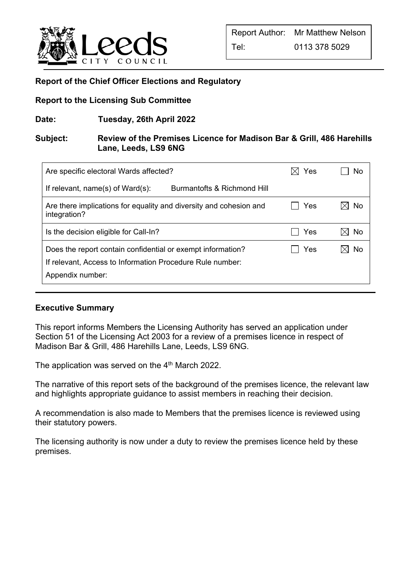

# **Report of the Chief Officer Elections and Regulatory**

## **Report to the Licensing Sub Committee**

**Date: Tuesday, 26th April 2022** 

## **Subject: Review of the Premises Licence for Madison Bar & Grill, 486 Harehills Lane, Leeds, LS9 6NG**

| Are specific electoral Wards affected?                                             | Yes | No |
|------------------------------------------------------------------------------------|-----|----|
| If relevant, $name(s)$ of Ward $(s)$ :<br>Burmantofts & Richmond Hill              |     |    |
| Are there implications for equality and diversity and cohesion and<br>integration? | Yes | No |
| Is the decision eligible for Call-In?                                              | Yes | No |
| Does the report contain confidential or exempt information?                        | Yes | No |
| If relevant, Access to Information Procedure Rule number:                          |     |    |
| Appendix number:                                                                   |     |    |

# **Executive Summary**

֦

This report informs Members the Licensing Authority has served an application under Section 51 of the Licensing Act 2003 for a review of a premises licence in respect of Madison Bar & Grill, 486 Harehills Lane, Leeds, LS9 6NG.

The application was served on the  $4<sup>th</sup>$  March 2022.

The narrative of this report sets of the background of the premises licence, the relevant law and highlights appropriate guidance to assist members in reaching their decision.

A recommendation is also made to Members that the premises licence is reviewed using their statutory powers.

The licensing authority is now under a duty to review the premises licence held by these premises.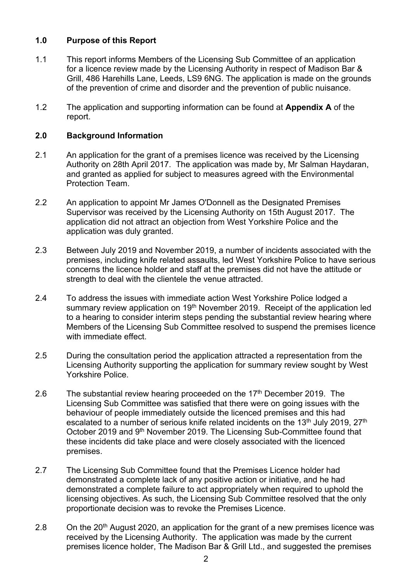## **1.0 Purpose of this Report**

- 1.1 This report informs Members of the Licensing Sub Committee of an application for a licence review made by the Licensing Authority in respect of Madison Bar & Grill, 486 Harehills Lane, Leeds, LS9 6NG. The application is made on the grounds of the prevention of crime and disorder and the prevention of public nuisance.
- 1.2 The application and supporting information can be found at **Appendix A** of the report.

### **2.0 Background Information**

- 2.1 An application for the grant of a premises licence was received by the Licensing Authority on 28th April 2017. The application was made by, Mr Salman Haydaran, and granted as applied for subject to measures agreed with the Environmental Protection Team.
- 2.2 An application to appoint Mr James O'Donnell as the Designated Premises Supervisor was received by the Licensing Authority on 15th August 2017. The application did not attract an objection from West Yorkshire Police and the application was duly granted.
- 2.3 Between July 2019 and November 2019, a number of incidents associated with the premises, including knife related assaults, led West Yorkshire Police to have serious concerns the licence holder and staff at the premises did not have the attitude or strength to deal with the clientele the venue attracted.
- 2.4 To address the issues with immediate action West Yorkshire Police lodged a summary review application on 19<sup>th</sup> November 2019. Receipt of the application led to a hearing to consider interim steps pending the substantial review hearing where Members of the Licensing Sub Committee resolved to suspend the premises licence with immediate effect.
- 2.5 During the consultation period the application attracted a representation from the Licensing Authority supporting the application for summary review sought by West Yorkshire Police.
- 2.6 The substantial review hearing proceeded on the  $17<sup>th</sup>$  December 2019. The Licensing Sub Committee was satisfied that there were on going issues with the behaviour of people immediately outside the licenced premises and this had escalated to a number of serious knife related incidents on the 13<sup>th</sup> July 2019, 27<sup>th</sup> October 2019 and 9th November 2019. The Licensing Sub-Committee found that these incidents did take place and were closely associated with the licenced premises.
- 2.7 The Licensing Sub Committee found that the Premises Licence holder had demonstrated a complete lack of any positive action or initiative, and he had demonstrated a complete failure to act appropriately when required to uphold the licensing objectives. As such, the Licensing Sub Committee resolved that the only proportionate decision was to revoke the Premises Licence.
- 2.8 On the  $20<sup>th</sup>$  August 2020, an application for the grant of a new premises licence was received by the Licensing Authority. The application was made by the current premises licence holder, The Madison Bar & Grill Ltd., and suggested the premises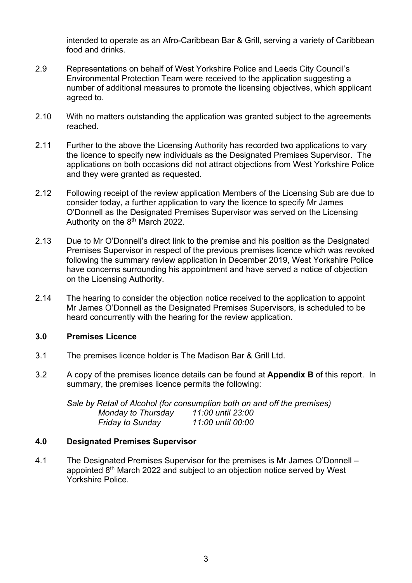intended to operate as an Afro-Caribbean Bar & Grill, serving a variety of Caribbean food and drinks.

- 2.9 Representations on behalf of West Yorkshire Police and Leeds City Council's Environmental Protection Team were received to the application suggesting a number of additional measures to promote the licensing objectives, which applicant agreed to.
- 2.10 With no matters outstanding the application was granted subject to the agreements reached.
- 2.11 Further to the above the Licensing Authority has recorded two applications to vary the licence to specify new individuals as the Designated Premises Supervisor. The applications on both occasions did not attract objections from West Yorkshire Police and they were granted as requested.
- 2.12 Following receipt of the review application Members of the Licensing Sub are due to consider today, a further application to vary the licence to specify Mr James O'Donnell as the Designated Premises Supervisor was served on the Licensing Authority on the  $8<sup>th</sup>$  March 2022.
- 2.13 Due to Mr O'Donnell's direct link to the premise and his position as the Designated Premises Supervisor in respect of the previous premises licence which was revoked following the summary review application in December 2019, West Yorkshire Police have concerns surrounding his appointment and have served a notice of objection on the Licensing Authority.
- 2.14 The hearing to consider the objection notice received to the application to appoint Mr James O'Donnell as the Designated Premises Supervisors, is scheduled to be heard concurrently with the hearing for the review application.

# **3.0 Premises Licence**

- 3.1 The premises licence holder is The Madison Bar & Grill Ltd.
- 3.2 A copy of the premises licence details can be found at **Appendix B** of this report. In summary, the premises licence permits the following:

*Sale by Retail of Alcohol (for consumption both on and off the premises) Monday to Thursday 11:00 until 23:00 Friday to Sunday 11:00 until 00:00* 

#### **4.0 Designated Premises Supervisor**

4.1 The Designated Premises Supervisor for the premises is Mr James O'Donnell – appointed 8th March 2022 and subject to an objection notice served by West Yorkshire Police.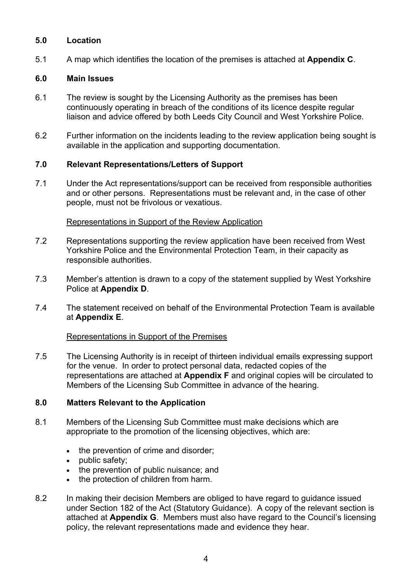## **5.0 Location**

5.1 A map which identifies the location of the premises is attached at **Appendix C**.

## **6.0 Main Issues**

- 6.1 The review is sought by the Licensing Authority as the premises has been continuously operating in breach of the conditions of its licence despite regular liaison and advice offered by both Leeds City Council and West Yorkshire Police.
- 6.2 Further information on the incidents leading to the review application being sought is available in the application and supporting documentation.

## **7.0 Relevant Representations/Letters of Support**

7.1 Under the Act representations/support can be received from responsible authorities and or other persons. Representations must be relevant and, in the case of other people, must not be frivolous or vexatious.

#### Representations in Support of the Review Application

- 7.2 Representations supporting the review application have been received from West Yorkshire Police and the Environmental Protection Team, in their capacity as responsible authorities.
- 7.3 Member's attention is drawn to a copy of the statement supplied by West Yorkshire Police at **Appendix D**.
- 7.4 The statement received on behalf of the Environmental Protection Team is available at **Appendix E**.

#### Representations in Support of the Premises

7.5 The Licensing Authority is in receipt of thirteen individual emails expressing support for the venue. In order to protect personal data, redacted copies of the representations are attached at **Appendix F** and original copies will be circulated to Members of the Licensing Sub Committee in advance of the hearing.

#### **8.0 Matters Relevant to the Application**

- 8.1 Members of the Licensing Sub Committee must make decisions which are appropriate to the promotion of the licensing objectives, which are:
	- the prevention of crime and disorder;
	- public safety:
	- the prevention of public nuisance; and
	- the protection of children from harm.
- 8.2 In making their decision Members are obliged to have regard to guidance issued under Section 182 of the Act (Statutory Guidance). A copy of the relevant section is attached at **Appendix G**. Members must also have regard to the Council's licensing policy, the relevant representations made and evidence they hear.